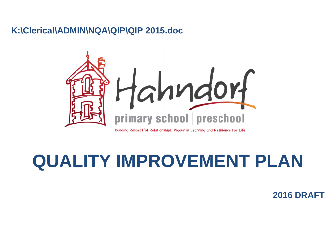# **K:\Clerical\ADMIN\NQA\QIP\QIP 2015.doc**



**QUALITY IMPROVEMENT PLAN**

**2016 DRAFT**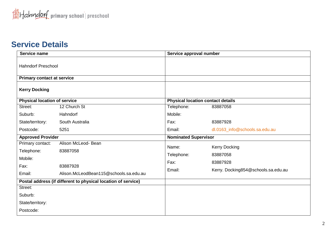# **Service Details**

|                             | 83887058                                                                                                         |  |  |
|-----------------------------|------------------------------------------------------------------------------------------------------------------|--|--|
| Mobile:                     |                                                                                                                  |  |  |
| Fax:                        | 83887928                                                                                                         |  |  |
| Email:                      | dl.0163_info@schools.sa.edu.au                                                                                   |  |  |
| <b>Nominated Supervisor</b> |                                                                                                                  |  |  |
|                             |                                                                                                                  |  |  |
|                             | <b>Kerry Docking</b>                                                                                             |  |  |
|                             | 83887058                                                                                                         |  |  |
|                             | 83887928                                                                                                         |  |  |
| Email:                      | Kerry. Docking854@schools.sa.edu.au                                                                              |  |  |
|                             |                                                                                                                  |  |  |
|                             |                                                                                                                  |  |  |
|                             |                                                                                                                  |  |  |
|                             |                                                                                                                  |  |  |
|                             |                                                                                                                  |  |  |
|                             | Service approval number<br><b>Physical location contact details</b><br>Telephone:<br>Name:<br>Telephone:<br>Fax: |  |  |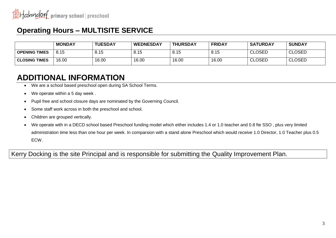# **Operating Hours – MULTISITE SERVICE**

|                      | <b>MONDAY</b> | <b>TUESDAY</b> | <b>WEDNESDAY</b> | <b>THURSDAY</b> | <b>FRIDAY</b> | <b>SATURDAY</b> | <b>SUNDAY</b> |
|----------------------|---------------|----------------|------------------|-----------------|---------------|-----------------|---------------|
| <b>OPENING TIMES</b> | 8.15          | 8.15           | 8.15             | 8.15            | 8.15          | <b>CLOSED</b>   | <b>CLOSED</b> |
| <b>CLOSING TIMES</b> | 16.00         | 16.00          | 16.00            | 16.00           | 16.00         | <b>CLOSED</b>   | <b>CLOSED</b> |

# **ADDITIONAL INFORMATION**

- We are a school based preschool open during SA School Terms.
- We operate within a 5 day week .
- Pupil free and school closure days are nominated by the Governing Council.
- Some staff work across in both the preschool and school.
- Children are grouped vertically.
- We operate with in a DECD school based Preschool funding model which either includes 1.4 or 1.0 teacher and 0.8 fte SSO , plus very limited administration time less than one hour per week. In comparsion with a stand alone Preschool which would receive 1.0 Director, 1.0 Teacher plus 0.5 ECW.

Kerry Docking is the site Principal and is responsible for submitting the Quality Improvement Plan.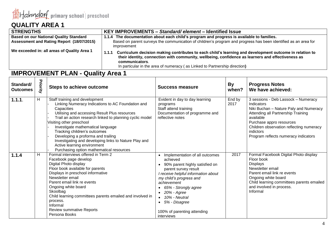

| <b>STRENGTHS</b>                                                                                                                                                            | KEY IMPROVEMENTS - Standard/element - Identified Issue                                                                                                                                                                                                                                                               |  |  |
|-----------------------------------------------------------------------------------------------------------------------------------------------------------------------------|----------------------------------------------------------------------------------------------------------------------------------------------------------------------------------------------------------------------------------------------------------------------------------------------------------------------|--|--|
| <b>Based on our National Quality Standard</b>                                                                                                                               | 1.1.4 The documentation about each child's program and progress is available to families.                                                                                                                                                                                                                            |  |  |
| Assessment and Rating Report (18/07/2015)<br>Based on parent surveys the communication of children's program and progress has been identified as an area for<br>improvement |                                                                                                                                                                                                                                                                                                                      |  |  |
| We exceeded in: all areas of Quality Area 1                                                                                                                                 | Curriculum decision making contributes to each child's learning and development outcome in relation to<br>1.1.1<br>their identity, connection with community, wellbeing, confidence as learners and effectiveness as<br>communicators.<br>In particular in the area of numeracy (as Linked to Partnership direction) |  |  |

| Standard/<br><b>Outcomes</b> | Priority | <b>Steps to achieve outcome</b>                                                                                                                                                                                                                                                                                                                                                                                                                                                           | Success measure                                                                                                                                                                                                                                                                                                                                    | By<br>when?    | <b>Progress Notes</b><br>We have achieved:                                                                                                                                                                                                                                  |
|------------------------------|----------|-------------------------------------------------------------------------------------------------------------------------------------------------------------------------------------------------------------------------------------------------------------------------------------------------------------------------------------------------------------------------------------------------------------------------------------------------------------------------------------------|----------------------------------------------------------------------------------------------------------------------------------------------------------------------------------------------------------------------------------------------------------------------------------------------------------------------------------------------------|----------------|-----------------------------------------------------------------------------------------------------------------------------------------------------------------------------------------------------------------------------------------------------------------------------|
| 1.1.1.                       | н        | Staff training and development<br>Linking Numeracy Indications to AC Foundation and<br>Capacities<br>Utilising and accessing Result Plus resources<br>Trail an action research linked to planning cyclic model<br>Visiting other preschool<br>Investigate mathematical language<br>Tracking children's outcomes<br>Developing a proforma and trailing<br>Investigating and developing links to Nature Play and<br>Active learning environment<br>Purchasing option mathematical resources | Evident in day to day learning<br>programs<br>Staff attend training<br>Documentation of programme and<br>reflective notes                                                                                                                                                                                                                          | End by<br>2017 | 3 sessions - Deb Lassock - Numeracy<br>Indicators<br>Niki Buchan - Nature Paly and Numeracy<br>Attending all Partnership Training<br>available<br>Purchase appro resources<br>Children observation reflecting numeracy<br>indictors<br>Program reflects numeracy indicators |
| 1.1.4                        | н        | Formal interviews offered in Term 2<br>Facebook page develop<br>Digital Photo display<br>Floor book available for parents<br>Displays in preschool informative<br>Newsletter email<br>Parent email link re events<br>Ongoing white board<br>Skoolbag<br>Child learning committees parents emailed and involved in<br>process.<br>Informal<br><b>Review summative Reports</b><br>Persona Books                                                                                             | Implementation of all outcomes<br>$\bullet$<br>achieved<br>90% parent highly satisfied on<br>parent survey result<br>I receive helpful information about<br>my child's progress and<br>achievement<br>65% - Strongly agree<br>20% - Agree<br>10% - Neutral<br>$\bullet$<br>5% - Disagree<br>$\bullet$<br>100% of parenting attending<br>interviews | 2017           | Formal Facebook Digital Photo display<br>Floor book<br><b>Displays</b><br>Newsletter email<br>Parent email link re events<br>Ongoing white board<br>Child learning committees parents emailed<br>and involved in process.<br>Informal                                       |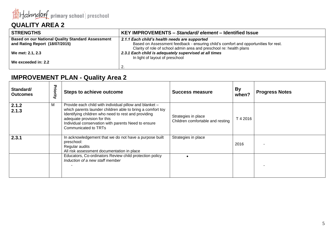

| l STRENGTHS                                              | KEY IMPROVEMENTS - Standard/element - Identified Issue                              |
|----------------------------------------------------------|-------------------------------------------------------------------------------------|
| <b>Based on our National Quality Standard Assessment</b> | 2.1.1 Each child's health needs are supported                                       |
| and Rating Report (18/07/2015)                           | Based on Assessment feedback - ensuring child's comfort and opportunities for rest. |
|                                                          | Clarity of role of school admin area and preschool re: health plans                 |
| We met: 2.1, 2.3                                         | 2.3.1 Each child is adequately supervised at all times                              |
|                                                          | In light of layout of preschool                                                     |
| We exceeded in: 2.2                                      |                                                                                     |
|                                                          | c                                                                                   |

| Standard/<br><b>Outcomes</b> | Priority | <b>Steps to achieve outcome</b>                                                                                                                                                                                                                                                            | Success measure                                         | <b>By</b><br>when? | <b>Progress Notes</b> |
|------------------------------|----------|--------------------------------------------------------------------------------------------------------------------------------------------------------------------------------------------------------------------------------------------------------------------------------------------|---------------------------------------------------------|--------------------|-----------------------|
| 2.1.2<br>2.1.3               | M        | Provide each child with individual pillow and blanket -<br>which parents launder children able to bring a comfort toy<br>Identifying children who need to rest and providing<br>adequate provision for this<br>Individual conservation with parents Need to ensure<br>Communicated to TRTs | Strategies in place<br>Children comfortable and resting | T 4 2016           |                       |
| 2.3.1                        |          | In acknowledgement that we do not have a purpose built<br>preschool:<br>Regular audits<br>All risk assessment documentation in place                                                                                                                                                       | Strategies in place                                     | 2016               |                       |
|                              |          | Educators, Co-ordinators Review child protection policy<br>Induction of a new staff member                                                                                                                                                                                                 |                                                         |                    |                       |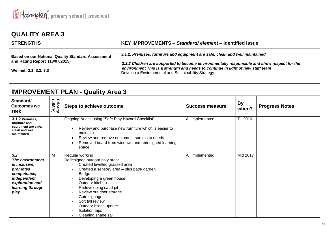| <b>STRENGTHS</b>                                                                                                    | KEY IMPROVEMENTS – Standard/element – Identified Issue                                                                                                                                                                                                                                                                 |
|---------------------------------------------------------------------------------------------------------------------|------------------------------------------------------------------------------------------------------------------------------------------------------------------------------------------------------------------------------------------------------------------------------------------------------------------------|
| <b>Based on our National Quality Standard Assessment</b><br>and Rating Report (18/07/2015)<br>We met: 3.1, 3.2, 3.3 | 3.1.2. Premises, furniture and equipment are safe, clean and well maintained<br>3.3.2 Children are supported to become environmentally responsible and show respect for the<br>environment This is a strength and needs to continue in light of new staff team<br>Develop a Environmental and Sustainability Strategy. |

| Standard/<br><b>Outcomes we</b><br>seek                                                                                                 | <b>Priority</b><br>Priority | <b>Steps to achieve outcome</b>                                                                                                                                                                                                                                                                                                                                            | <b>Success measure</b> | <b>By</b><br>when? | <b>Progress Notes</b> |
|-----------------------------------------------------------------------------------------------------------------------------------------|-----------------------------|----------------------------------------------------------------------------------------------------------------------------------------------------------------------------------------------------------------------------------------------------------------------------------------------------------------------------------------------------------------------------|------------------------|--------------------|-----------------------|
| 3.1.2 Premises,<br>furniture and<br>equipment are safe,<br>clean and well<br>maintained                                                 | H                           | Ongoing Audits using "Safe Play Hazard Checklist"<br>Review and purchase new furniture which is easier to<br>maintain<br>Review and remove equipment surplus to needs<br>Removed board from windows and redesigned learning<br>space                                                                                                                                       | All implemented        | T1 2016            |                       |
| 3.2<br>The environment<br><i>is inclusive,</i><br>promotes<br>competence,<br>independent<br>exploration and<br>learning through<br>play | M                           | Regular working<br>Redesigned outdoor paly area:<br>Created levelled grassed area<br>Created a sensory area - plus path/ garden<br><b>Bridge</b><br>Developing a green house<br>Outdoor kitchen<br>Redeveloping sand pit<br>$\sim$<br>Review out door storage<br>Gate signage<br>Soft fall review<br>Outdoor blinds update<br><b>Isolation taps</b><br>Cleaning shade sail | All implemented        | Mid 2017           |                       |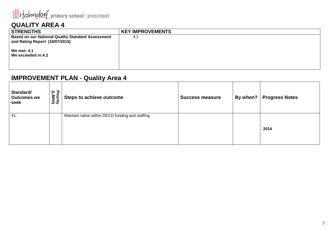

| <b>STRENGTHS</b>                                                                           | <b>KEY IMPROVEMENTS</b> |
|--------------------------------------------------------------------------------------------|-------------------------|
| <b>Based on our National Quality Standard Assessment</b><br>and Rating Report (18/07/2015) | 4.1                     |
| <b>We met: 4.1</b><br>We exceeded in:4.2                                                   |                         |

| Standard/<br><b>Outcomes we</b><br>seek | 은 구<br><b>TNIH)</b><br>/M/H) | <b>Steps to achieve outcome</b>                  | <b>Success measure</b> | By when? | <b>Progress Notes</b> |
|-----------------------------------------|------------------------------|--------------------------------------------------|------------------------|----------|-----------------------|
| 41.                                     |                              | Maintain ratios within DECD funding and staffing |                        |          | 2014                  |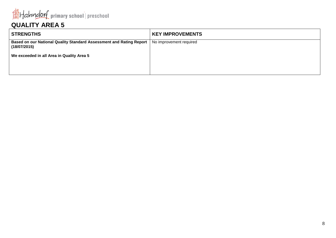

| <b>STRENGTHS</b>                                                                    | <b>KEY IMPROVEMENTS</b> |
|-------------------------------------------------------------------------------------|-------------------------|
| Based on our National Quality Standard Assessment and Rating Report<br>(18/07/2015) | No improvement required |
| We exceeded in all Area in Quality Area 5                                           |                         |
|                                                                                     |                         |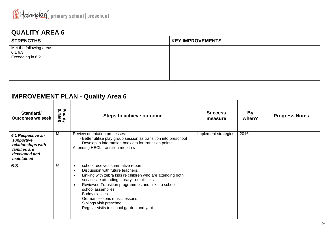

| <b>STRENGTHS</b>                    | <b>KEY IMPROVEMENTS</b> |
|-------------------------------------|-------------------------|
| Met the following areas;<br>6.1 6.3 |                         |
| Exceeding in 6.2                    |                         |
|                                     |                         |
|                                     |                         |
|                                     |                         |

| Standard/<br><b>Outcomes we seek</b>                                                                 | <b>Friority</b><br>(LMH) | <b>Steps to achieve outcome</b>                                                                                                                                                                                                                                                                                                                                                                                                                 | <b>Success</b><br>measure | By<br>when? | <b>Progress Notes</b> |
|------------------------------------------------------------------------------------------------------|--------------------------|-------------------------------------------------------------------------------------------------------------------------------------------------------------------------------------------------------------------------------------------------------------------------------------------------------------------------------------------------------------------------------------------------------------------------------------------------|---------------------------|-------------|-----------------------|
| 6.1 Respective an<br>supportive<br>relationships with<br>families are<br>developed and<br>maintained | M                        | Review orientation processes:<br>- Better utilise play group session as transition into preschool<br>- Develop in information booklets for transition points<br>Attending HECL transition meetin s                                                                                                                                                                                                                                              | Implement strategies      | 2016        |                       |
| 6.3.                                                                                                 | M                        | school receives summative report<br>$\bullet$<br>Discussion with future teachers.<br>$\bullet$<br>Linking with zebra kids re children who are attending both<br>$\bullet$<br>services ie attending Library -email links<br>Reviewed Transition programmes and links to school<br>$\bullet$<br>school assemblies<br><b>Buddy classes</b><br>German lessons music lessons<br>Siblings visit preschool<br>Regular visits to school garden and yard |                           |             |                       |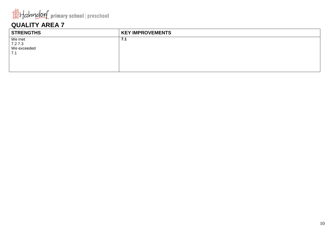

| <b>KEY IMPROVEMENTS</b> |
|-------------------------|
| 7.1                     |
|                         |
|                         |
|                         |
|                         |
|                         |